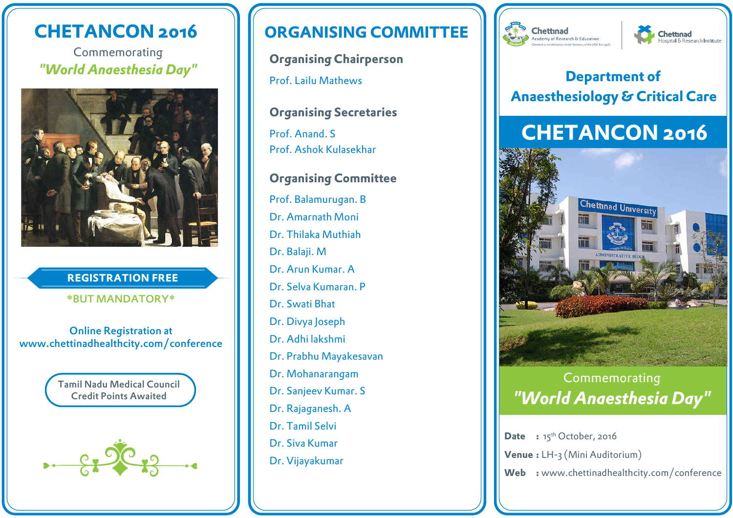# **CHETANCON 2016**

Commemorating *"World Anaesthesia Day"*



### **REGISTRATION FREE**

#### \*BUT MANDATORY\*

Online Registration at www.chettinadhealthcity.com/conference



# **ORGANISING COMMITTEE**

**Organising Chairperson** Prof. Lailu Mathews

**Organising Secretaries**

Prof. Anand. S Prof. Ashok Kulasekhar

### **Organising Committee**

Prof. Balamurugan. B Dr. Amarnath Moni Dr. Thilaka Muthiah Dr. Balaji. M Dr. Arun Kumar. A Dr. Selva Kumaran. P Dr. Swati Bhat Dr. Divya Joseph Dr. Adhi lakshmi Dr. Prabhu Mayakesavan Dr. Mohanarangam Dr. Sanjeev Kumar. S Dr. Rajaganesh. A Dr. Tamil Selvi Dr. Siva Kumar Dr. Vijayakumar





## **Department of Anaesthesiology & Critical Care**

# **CHETANCON 2016**



# *"World Anaesthesia Day"* Commemorating

**Date** : 15<sup>th</sup> October, 2016 **Venue :** LH-3 (Mini Auditorium) **Web :** www.chettinadhealthcity.com/conference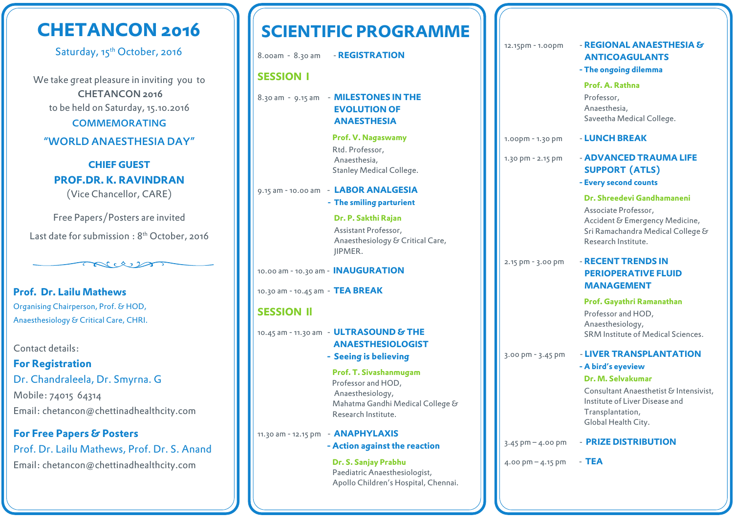# **CHETANCON 2016**

Saturday, 15<sup>th</sup> October, 2016

We take great pleasure in inviting you to CHETANCON 2016 to be held on Saturday, 15.10.2016

COMMEMORATING

#### "WORLD ANAESTHESIA DAY"

**CHIEF GUEST PROF.DR. K. RAVINDRAN** (Vice Chancellor, CARE)

Free Papers/Posters are invited Last date for submission: 8<sup>th</sup> October, 2016

 $\mathbb{R}^n \times \mathbb{R}^n$ 

**Prof. Dr. Lailu Mathews** Organising Chairperson, Prof. & HOD, Anaesthesiology & Critical Care, CHRI.

Contact details:

**For Registration**  Dr. Chandraleela, Dr. Smyrna. G Mobile: 74015 64314 Email: chetancon@chettinadhealthcity.com

**For Free Papers & Posters** Prof. Dr. Lailu Mathews, Prof. Dr. S. Anand Email: chetancon@chettinadhealthcity.com

# **SCIENTIFIC PROGRAMME**

8.00am - 8.30 am - **REGISTRATION**

#### **SESSION I**

#### 8.30 am - 9.15 am - **MILESTONES IN THE EVOLUTION OF ANAESTHESIA**

 **Prof. V. Nagaswamy** Rtd. Professor, Anaesthesia, Stanley Medical College.

#### 9.15 am - 10.00 am - **LABOR ANALGESIA**

 **- The smiling parturient**

 **Dr. P. Sakthi Rajan**  Assistant Professor, Anaesthesiology & Critical Care, JIPMER.

10.00 am - 10.30 am - **INAUGURATION**

10.30 am - 10.45 am - **TEA BREAK**

### **SESSION Il**

10.45 am - 11.30 am - **ULTRASOUND & THE ANAESTHESIOLOGIST**

 **- Seeing is believing**

 **Prof. T. Sivashanmugam** Professor and HOD, Anaesthesiology, Mahatma Gandhi Medical College & Research Institute.

11.30 am - 12.15 pm - **ANAPHYLAXIS** 

#### **- Action against the reaction**

 **Dr. S. Sanjay Prabhu** Paediatric Anaesthesiologist, Apollo Children's Hospital, Chennai.

### 12.15pm - 1.00pm - **REGIONAL ANAESTHESIA & ANTICOAGULANTS - The ongoing dilemma Prof. A. Rathna** Professor, Anaesthesia, Saveetha Medical College.

### 1.00pm - 1.30 pm - **LUNCH BREAK**

1.30 pm - 2.15 pm - **ADVANCED TRAUMA LIFE SUPPORT (ATLS)**

 **- Every second counts**

 **Dr. Shreedevi Gandhamaneni** Associate Professor,

 Accident & Emergency Medicine, Sri Ramachandra Medical College & Research Institute.

#### 2.15 pm - 3.00 pm - **RECENT TRENDS IN PERIOPERATIVE FLUID MANAGEMENT**

 **Prof. Gayathri Ramanathan** Professor and HOD, Anaesthesiology, SRM Institute of Medical Sciences.

#### 3.00 pm - 3.45 pm - **LIVER TRANSPLANTATION - A bird's eyeview**

#### **Dr. M. Selvakumar**

 Consultant Anaesthetist & Intensivist, Institute of Liver Disease and Transplantation, Global Health City.

3.45 pm – 4.00 pm - **PRIZE DISTRIBUTION**

 $4.00 \text{ pm} - 4.15 \text{ pm}$  - TEA